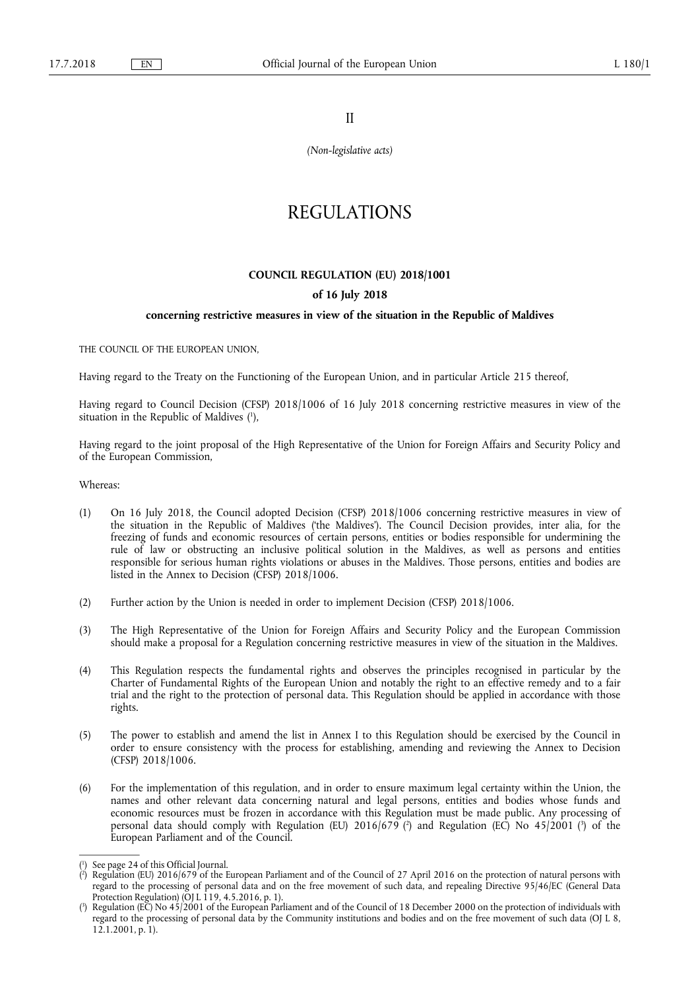II

*(Non-legislative acts)* 

# REGULATIONS

## **COUNCIL REGULATION (EU) 2018/1001**

## **of 16 July 2018**

#### **concerning restrictive measures in view of the situation in the Republic of Maldives**

THE COUNCIL OF THE EUROPEAN UNION,

Having regard to the Treaty on the Functioning of the European Union, and in particular Article 215 thereof,

Having regard to Council Decision (CFSP) 2018/1006 of 16 July 2018 concerning restrictive measures in view of the situation in the Republic of Maldives (1),

Having regard to the joint proposal of the High Representative of the Union for Foreign Affairs and Security Policy and of the European Commission,

Whereas:

- (1) On 16 July 2018, the Council adopted Decision (CFSP) 2018/1006 concerning restrictive measures in view of the situation in the Republic of Maldives ('the Maldives'). The Council Decision provides, inter alia, for the freezing of funds and economic resources of certain persons, entities or bodies responsible for undermining the rule of law or obstructing an inclusive political solution in the Maldives, as well as persons and entities responsible for serious human rights violations or abuses in the Maldives. Those persons, entities and bodies are listed in the Annex to Decision (CFSP) 2018/1006.
- (2) Further action by the Union is needed in order to implement Decision (CFSP) 2018/1006.
- (3) The High Representative of the Union for Foreign Affairs and Security Policy and the European Commission should make a proposal for a Regulation concerning restrictive measures in view of the situation in the Maldives.
- (4) This Regulation respects the fundamental rights and observes the principles recognised in particular by the Charter of Fundamental Rights of the European Union and notably the right to an effective remedy and to a fair trial and the right to the protection of personal data. This Regulation should be applied in accordance with those rights.
- (5) The power to establish and amend the list in Annex I to this Regulation should be exercised by the Council in order to ensure consistency with the process for establishing, amending and reviewing the Annex to Decision (CFSP) 2018/1006.
- (6) For the implementation of this regulation, and in order to ensure maximum legal certainty within the Union, the names and other relevant data concerning natural and legal persons, entities and bodies whose funds and economic resources must be frozen in accordance with this Regulation must be made public. Any processing of personal data should comply with Regulation (EU) 2016/679 (?) and Regulation (EC) No 45/2001 (3) of the European Parliament and of the Council.

<sup>(</sup> 1 ) See page 24 of this Official Journal.

<sup>(</sup> 2 ) Regulation (EU) 2016/679 of the European Parliament and of the Council of 27 April 2016 on the protection of natural persons with regard to the processing of personal data and on the free movement of such data, and repealing Directive 95/46/EC (General Data Protection Regulation) ( $\overline{O}$ J L 119, 4.5.2016, p. 1).

<sup>(</sup> 3 ) Regulation (EC) No 45/2001 of the European Parliament and of the Council of 18 December 2000 on the protection of individuals with regard to the processing of personal data by the Community institutions and bodies and on the free movement of such data (OJ L 8, 12.1.2001, p. 1).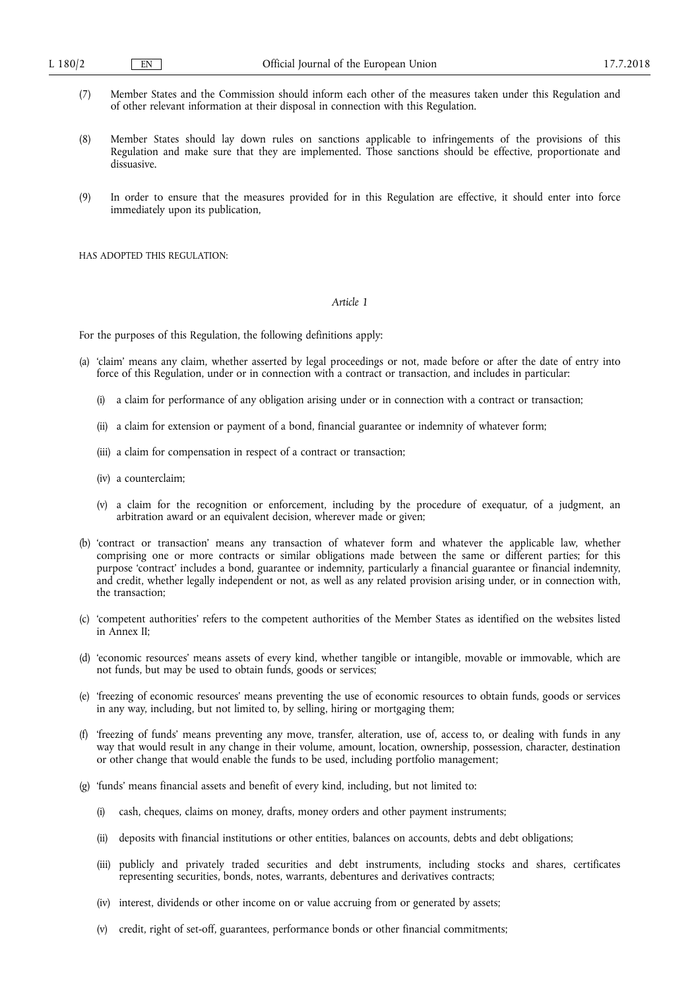- (7) Member States and the Commission should inform each other of the measures taken under this Regulation and of other relevant information at their disposal in connection with this Regulation.
- (8) Member States should lay down rules on sanctions applicable to infringements of the provisions of this Regulation and make sure that they are implemented. Those sanctions should be effective, proportionate and dissuasive.
- (9) In order to ensure that the measures provided for in this Regulation are effective, it should enter into force immediately upon its publication,

HAS ADOPTED THIS REGULATION·

## *Article 1*

For the purposes of this Regulation, the following definitions apply:

- (a) 'claim' means any claim, whether asserted by legal proceedings or not, made before or after the date of entry into force of this Regulation, under or in connection with a contract or transaction, and includes in particular:
	- (i) a claim for performance of any obligation arising under or in connection with a contract or transaction;
	- (ii) a claim for extension or payment of a bond, financial guarantee or indemnity of whatever form;
	- (iii) a claim for compensation in respect of a contract or transaction;
	- (iv) a counterclaim;
	- (v) a claim for the recognition or enforcement, including by the procedure of exequatur, of a judgment, an arbitration award or an equivalent decision, wherever made or given;
- (b) 'contract or transaction' means any transaction of whatever form and whatever the applicable law, whether comprising one or more contracts or similar obligations made between the same or different parties; for this purpose 'contract' includes a bond, guarantee or indemnity, particularly a financial guarantee or financial indemnity, and credit, whether legally independent or not, as well as any related provision arising under, or in connection with, the transaction;
- (c) 'competent authorities' refers to the competent authorities of the Member States as identified on the websites listed in Annex II;
- (d) 'economic resources' means assets of every kind, whether tangible or intangible, movable or immovable, which are not funds, but may be used to obtain funds, goods or services;
- (e) 'freezing of economic resources' means preventing the use of economic resources to obtain funds, goods or services in any way, including, but not limited to, by selling, hiring or mortgaging them;
- (f) 'freezing of funds' means preventing any move, transfer, alteration, use of, access to, or dealing with funds in any way that would result in any change in their volume, amount, location, ownership, possession, character, destination or other change that would enable the funds to be used, including portfolio management;
- (g) 'funds' means financial assets and benefit of every kind, including, but not limited to:
	- (i) cash, cheques, claims on money, drafts, money orders and other payment instruments;
	- (ii) deposits with financial institutions or other entities, balances on accounts, debts and debt obligations;
	- (iii) publicly and privately traded securities and debt instruments, including stocks and shares, certificates representing securities, bonds, notes, warrants, debentures and derivatives contracts;
	- (iv) interest, dividends or other income on or value accruing from or generated by assets;
	- (v) credit, right of set-off, guarantees, performance bonds or other financial commitments;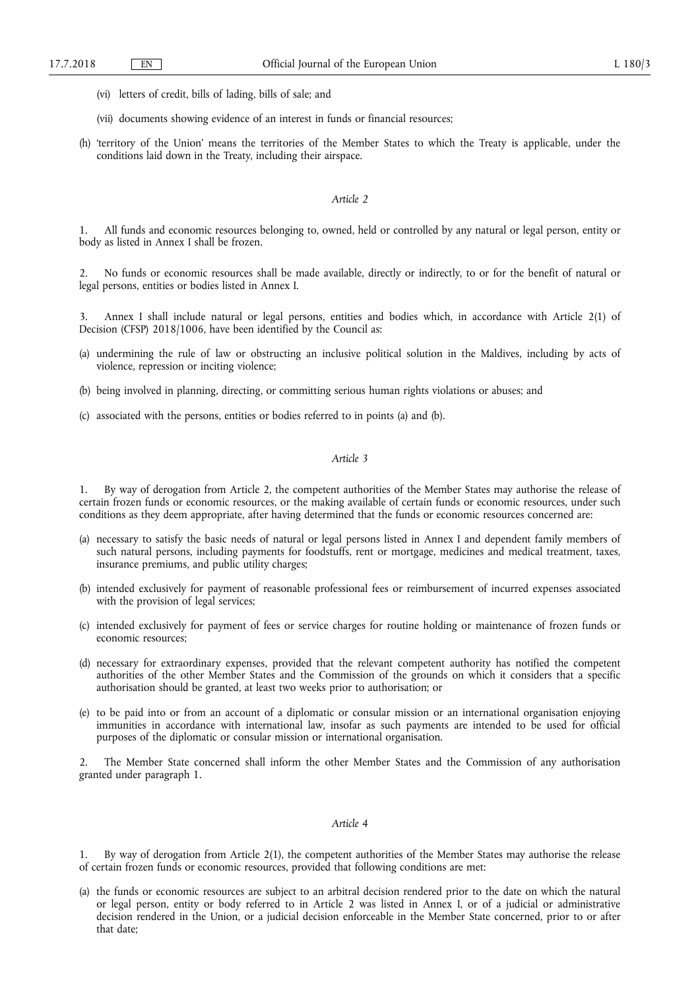- (vi) letters of credit, bills of lading, bills of sale; and
- (vii) documents showing evidence of an interest in funds or financial resources;
- (h) 'territory of the Union' means the territories of the Member States to which the Treaty is applicable, under the conditions laid down in the Treaty, including their airspace.

#### *Article 2*

1. All funds and economic resources belonging to, owned, held or controlled by any natural or legal person, entity or body as listed in Annex I shall be frozen.

2. No funds or economic resources shall be made available, directly or indirectly, to or for the benefit of natural or legal persons, entities or bodies listed in Annex I.

3. Annex I shall include natural or legal persons, entities and bodies which, in accordance with Article 2(1) of Decision (CFSP) 2018/1006, have been identified by the Council as:

- (a) undermining the rule of law or obstructing an inclusive political solution in the Maldives, including by acts of violence, repression or inciting violence;
- (b) being involved in planning, directing, or committing serious human rights violations or abuses; and
- (c) associated with the persons, entities or bodies referred to in points (a) and (b).

## *Article 3*

1. By way of derogation from Article 2, the competent authorities of the Member States may authorise the release of certain frozen funds or economic resources, or the making available of certain funds or economic resources, under such conditions as they deem appropriate, after having determined that the funds or economic resources concerned are:

- (a) necessary to satisfy the basic needs of natural or legal persons listed in Annex I and dependent family members of such natural persons, including payments for foodstuffs, rent or mortgage, medicines and medical treatment, taxes, insurance premiums, and public utility charges;
- (b) intended exclusively for payment of reasonable professional fees or reimbursement of incurred expenses associated with the provision of legal services;
- (c) intended exclusively for payment of fees or service charges for routine holding or maintenance of frozen funds or economic resources;
- (d) necessary for extraordinary expenses, provided that the relevant competent authority has notified the competent authorities of the other Member States and the Commission of the grounds on which it considers that a specific authorisation should be granted, at least two weeks prior to authorisation; or
- (e) to be paid into or from an account of a diplomatic or consular mission or an international organisation enjoying immunities in accordance with international law, insofar as such payments are intended to be used for official purposes of the diplomatic or consular mission or international organisation.

2. The Member State concerned shall inform the other Member States and the Commission of any authorisation granted under paragraph 1.

#### *Article 4*

1. By way of derogation from Article 2(1), the competent authorities of the Member States may authorise the release of certain frozen funds or economic resources, provided that following conditions are met:

(a) the funds or economic resources are subject to an arbitral decision rendered prior to the date on which the natural or legal person, entity or body referred to in Article 2 was listed in Annex I, or of a judicial or administrative decision rendered in the Union, or a judicial decision enforceable in the Member State concerned, prior to or after that date;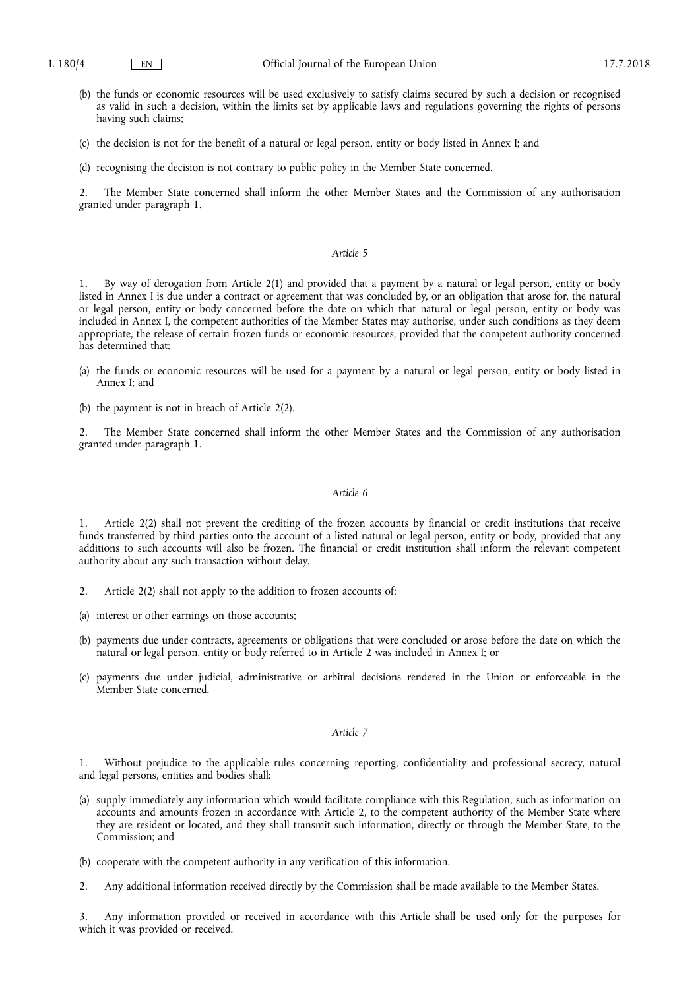- (b) the funds or economic resources will be used exclusively to satisfy claims secured by such a decision or recognised as valid in such a decision, within the limits set by applicable laws and regulations governing the rights of persons having such claims;
- (c) the decision is not for the benefit of a natural or legal person, entity or body listed in Annex I; and
- (d) recognising the decision is not contrary to public policy in the Member State concerned.

2. The Member State concerned shall inform the other Member States and the Commission of any authorisation granted under paragraph 1.

#### *Article 5*

1. By way of derogation from Article 2(1) and provided that a payment by a natural or legal person, entity or body listed in Annex I is due under a contract or agreement that was concluded by, or an obligation that arose for, the natural or legal person, entity or body concerned before the date on which that natural or legal person, entity or body was included in Annex I, the competent authorities of the Member States may authorise, under such conditions as they deem appropriate, the release of certain frozen funds or economic resources, provided that the competent authority concerned has determined that:

- (a) the funds or economic resources will be used for a payment by a natural or legal person, entity or body listed in Annex I; and
- (b) the payment is not in breach of Article 2(2).

2. The Member State concerned shall inform the other Member States and the Commission of any authorisation granted under paragraph 1.

#### *Article 6*

1. Article 2(2) shall not prevent the crediting of the frozen accounts by financial or credit institutions that receive funds transferred by third parties onto the account of a listed natural or legal person, entity or body, provided that any additions to such accounts will also be frozen. The financial or credit institution shall inform the relevant competent authority about any such transaction without delay.

- 2. Article 2(2) shall not apply to the addition to frozen accounts of:
- (a) interest or other earnings on those accounts;
- (b) payments due under contracts, agreements or obligations that were concluded or arose before the date on which the natural or legal person, entity or body referred to in Article 2 was included in Annex I; or
- (c) payments due under judicial, administrative or arbitral decisions rendered in the Union or enforceable in the Member State concerned.

#### *Article 7*

1. Without prejudice to the applicable rules concerning reporting, confidentiality and professional secrecy, natural and legal persons, entities and bodies shall:

- (a) supply immediately any information which would facilitate compliance with this Regulation, such as information on accounts and amounts frozen in accordance with Article 2, to the competent authority of the Member State where they are resident or located, and they shall transmit such information, directly or through the Member State, to the Commission; and
- (b) cooperate with the competent authority in any verification of this information.
- 2. Any additional information received directly by the Commission shall be made available to the Member States.

3. Any information provided or received in accordance with this Article shall be used only for the purposes for which it was provided or received.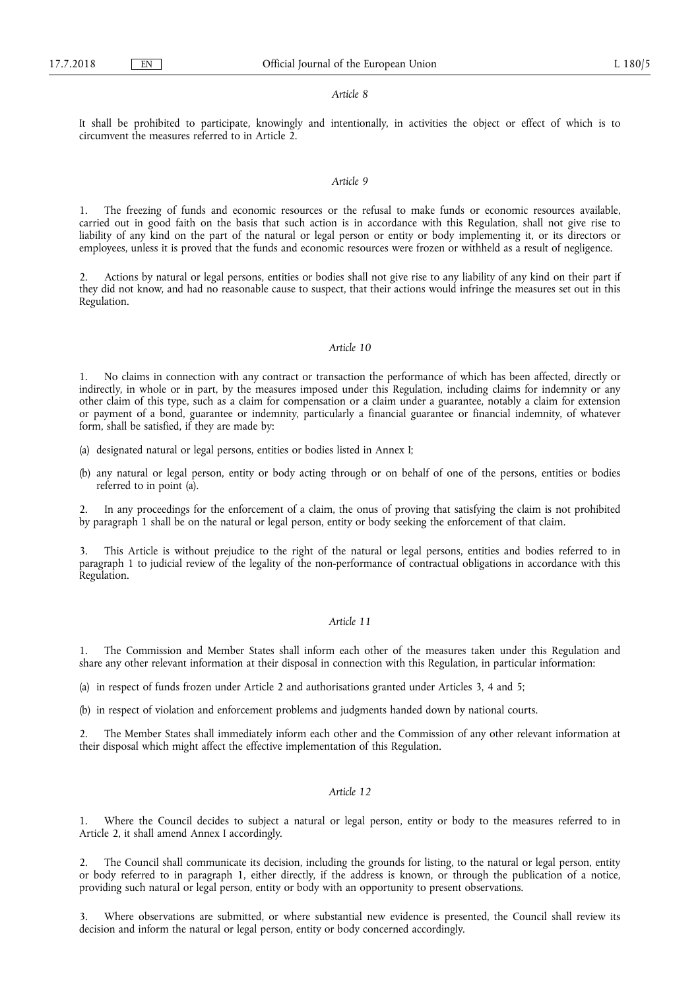#### *Article 8*

It shall be prohibited to participate, knowingly and intentionally, in activities the object or effect of which is to circumvent the measures referred to in Article 2.

#### *Article 9*

1. The freezing of funds and economic resources or the refusal to make funds or economic resources available, carried out in good faith on the basis that such action is in accordance with this Regulation, shall not give rise to liability of any kind on the part of the natural or legal person or entity or body implementing it, or its directors or employees, unless it is proved that the funds and economic resources were frozen or withheld as a result of negligence.

2. Actions by natural or legal persons, entities or bodies shall not give rise to any liability of any kind on their part if they did not know, and had no reasonable cause to suspect, that their actions would infringe the measures set out in this Regulation.

### *Article 10*

1. No claims in connection with any contract or transaction the performance of which has been affected, directly or indirectly, in whole or in part, by the measures imposed under this Regulation, including claims for indemnity or any other claim of this type, such as a claim for compensation or a claim under a guarantee, notably a claim for extension or payment of a bond, guarantee or indemnity, particularly a financial guarantee or financial indemnity, of whatever form, shall be satisfied, if they are made by:

- (a) designated natural or legal persons, entities or bodies listed in Annex I;
- (b) any natural or legal person, entity or body acting through or on behalf of one of the persons, entities or bodies referred to in point (a).

2. In any proceedings for the enforcement of a claim, the onus of proving that satisfying the claim is not prohibited by paragraph 1 shall be on the natural or legal person, entity or body seeking the enforcement of that claim.

3. This Article is without prejudice to the right of the natural or legal persons, entities and bodies referred to in paragraph 1 to judicial review of the legality of the non-performance of contractual obligations in accordance with this Regulation.

#### *Article 11*

1. The Commission and Member States shall inform each other of the measures taken under this Regulation and share any other relevant information at their disposal in connection with this Regulation, in particular information:

(a) in respect of funds frozen under Article 2 and authorisations granted under Articles 3, 4 and 5;

(b) in respect of violation and enforcement problems and judgments handed down by national courts.

2. The Member States shall immediately inform each other and the Commission of any other relevant information at their disposal which might affect the effective implementation of this Regulation.

#### *Article 12*

Where the Council decides to subject a natural or legal person, entity or body to the measures referred to in Article 2, it shall amend Annex I accordingly.

2. The Council shall communicate its decision, including the grounds for listing, to the natural or legal person, entity or body referred to in paragraph 1, either directly, if the address is known, or through the publication of a notice, providing such natural or legal person, entity or body with an opportunity to present observations.

Where observations are submitted, or where substantial new evidence is presented, the Council shall review its decision and inform the natural or legal person, entity or body concerned accordingly.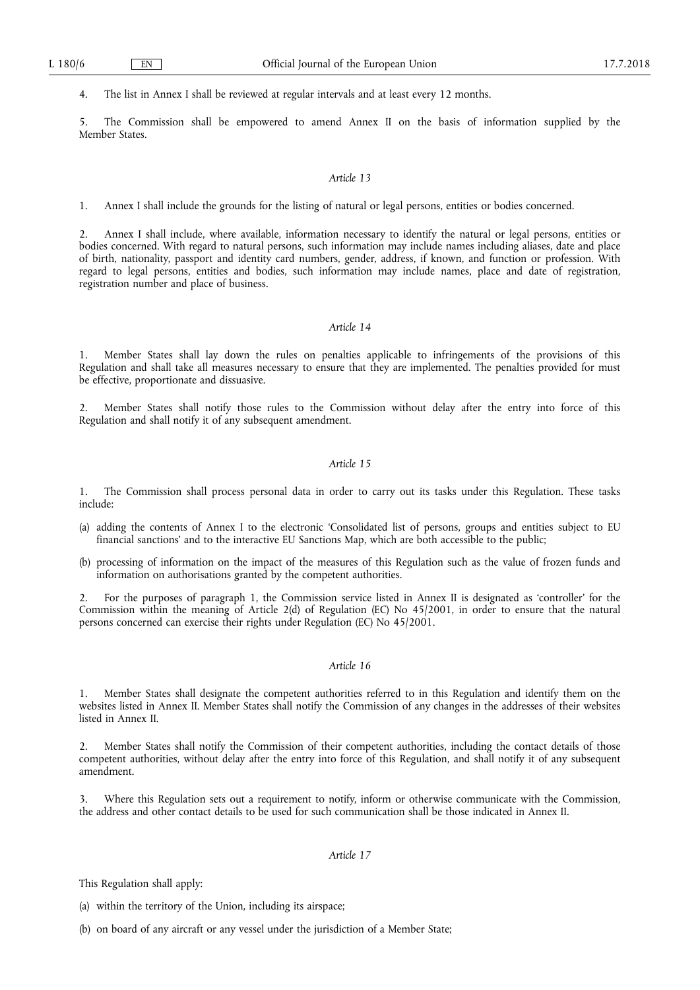4. The list in Annex I shall be reviewed at regular intervals and at least every 12 months.

5. The Commission shall be empowered to amend Annex II on the basis of information supplied by the Member States.

#### *Article 13*

1. Annex I shall include the grounds for the listing of natural or legal persons, entities or bodies concerned.

2. Annex I shall include, where available, information necessary to identify the natural or legal persons, entities or bodies concerned. With regard to natural persons, such information may include names including aliases, date and place of birth, nationality, passport and identity card numbers, gender, address, if known, and function or profession. With regard to legal persons, entities and bodies, such information may include names, place and date of registration, registration number and place of business.

## *Article 14*

1. Member States shall lay down the rules on penalties applicable to infringements of the provisions of this Regulation and shall take all measures necessary to ensure that they are implemented. The penalties provided for must be effective, proportionate and dissuasive.

2. Member States shall notify those rules to the Commission without delay after the entry into force of this Regulation and shall notify it of any subsequent amendment.

## *Article 15*

1. The Commission shall process personal data in order to carry out its tasks under this Regulation. These tasks include:

- (a) adding the contents of Annex I to the electronic 'Consolidated list of persons, groups and entities subject to EU financial sanctions' and to the interactive EU Sanctions Map, which are both accessible to the public;
- (b) processing of information on the impact of the measures of this Regulation such as the value of frozen funds and information on authorisations granted by the competent authorities.

2. For the purposes of paragraph 1, the Commission service listed in Annex II is designated as 'controller' for the Commission within the meaning of Article 2(d) of Regulation (EC) No 45/2001, in order to ensure that the natural persons concerned can exercise their rights under Regulation (EC) No 45/2001.

## *Article 16*

1. Member States shall designate the competent authorities referred to in this Regulation and identify them on the websites listed in Annex II. Member States shall notify the Commission of any changes in the addresses of their websites listed in Annex II.

2. Member States shall notify the Commission of their competent authorities, including the contact details of those competent authorities, without delay after the entry into force of this Regulation, and shall notify it of any subsequent amendment.

3. Where this Regulation sets out a requirement to notify, inform or otherwise communicate with the Commission, the address and other contact details to be used for such communication shall be those indicated in Annex II.

# *Article 17*

This Regulation shall apply:

(a) within the territory of the Union, including its airspace;

(b) on board of any aircraft or any vessel under the jurisdiction of a Member State;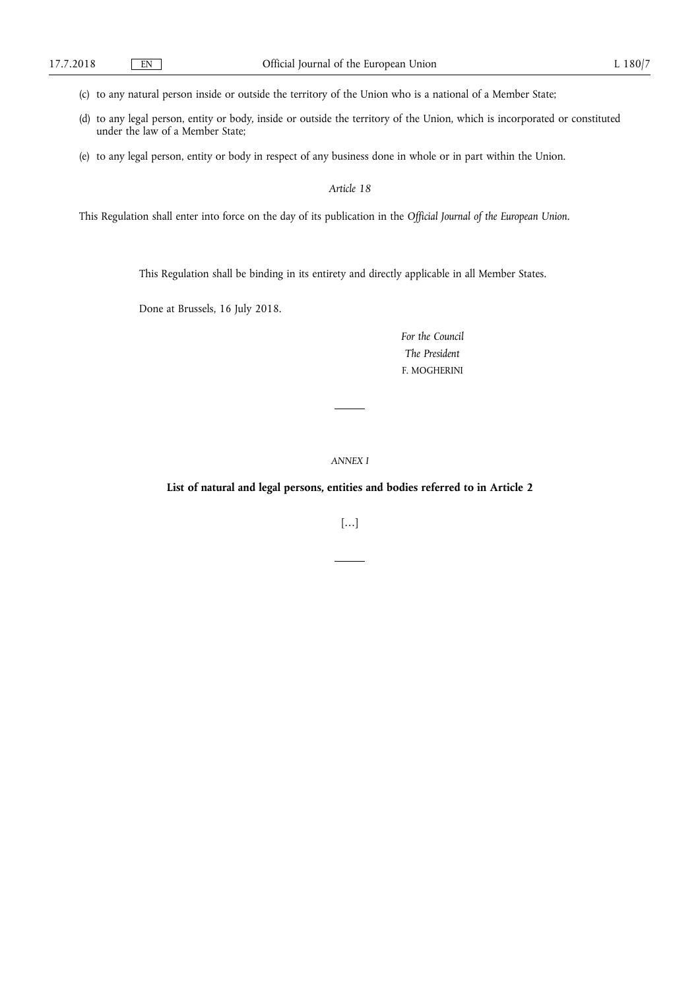(c) to any natural person inside or outside the territory of the Union who is a national of a Member State;

- (d) to any legal person, entity or body, inside or outside the territory of the Union, which is incorporated or constituted under the law of a Member State;
- (e) to any legal person, entity or body in respect of any business done in whole or in part within the Union.

*Article 18* 

This Regulation shall enter into force on the day of its publication in the *Official Journal of the European Union*.

This Regulation shall be binding in its entirety and directly applicable in all Member States.

Done at Brussels, 16 July 2018.

*For the Council The President*  F. MOGHERINI

*ANNEX I* 

**List of natural and legal persons, entities and bodies referred to in Article 2** 

[…]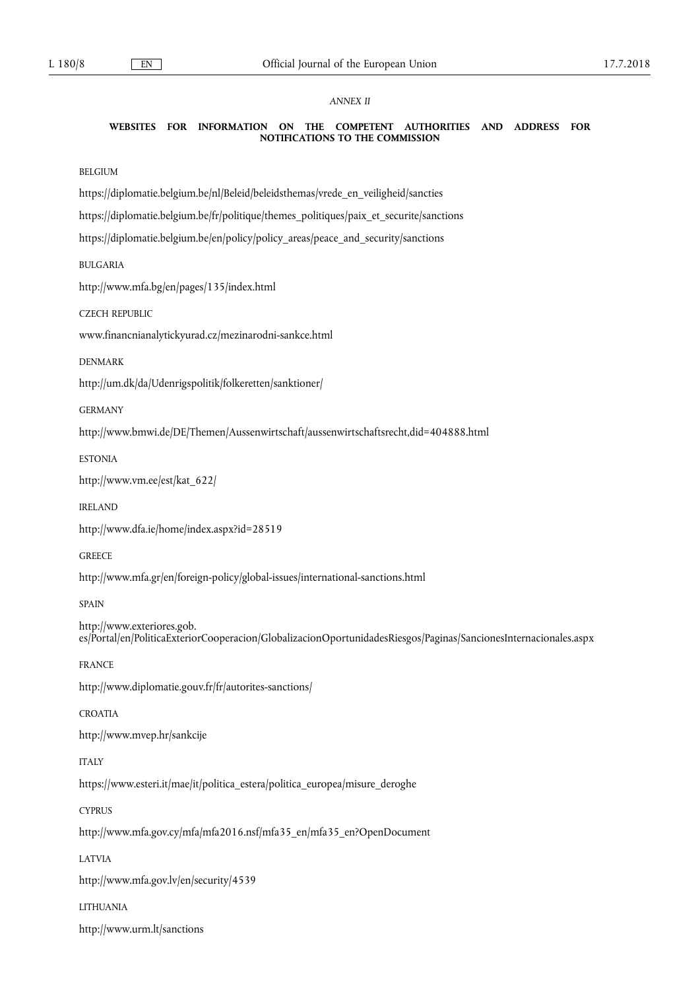# *ANNEX II*

#### **WEBSITES FOR INFORMATION ON THE COMPETENT AUTHORITIES AND ADDRESS FOR NOTIFICATIONS TO THE COMMISSION**

BELGIUM

[https://diplomatie.belgium.be/nl/Beleid/beleidsthemas/vrede\\_en\\_veiligheid/sancties](https://diplomatie.belgium.be/nl/Beleid/beleidsthemas/vrede_en_veiligheid/sancties) 

[https://diplomatie.belgium.be/fr/politique/themes\\_politiques/paix\\_et\\_securite/sanctions](https://diplomatie.belgium.be/fr/politique/themes_politiques/paix_et_securite/sanctions)

[https://diplomatie.belgium.be/en/policy/policy\\_areas/peace\\_and\\_security/sanctions](https://diplomatie.belgium.be/en/policy/policy_areas/peace_and_security/sanctions) 

BULGARIA

<http://www.mfa.bg/en/pages/135/index.html>

CZECH REPUBLIC

[www.financnianalytickyurad.cz/mezinarodni-sankce.html](http://www.financnianalytickyurad.cz/mezinarodni-sankce.html)

DENMARK

<http://um.dk/da/Udenrigspolitik/folkeretten/sanktioner/>

GERMANY

<http://www.bmwi.de/DE/Themen/Aussenwirtschaft/aussenwirtschaftsrecht,did=404888.html>

ESTONIA

[http://www.vm.ee/est/kat\\_622/](http://www.vm.ee/est/kat_622/)

IRELAND

<http://www.dfa.ie/home/index.aspx?id=28519>

**GREECE** 

<http://www.mfa.gr/en/foreign-policy/global-issues/international-sanctions.html>

SPAIN

[http://www.exteriores.gob.](http://www.exteriores.gob.es/Portal/en/PoliticaExteriorCooperacion/GlobalizacionOportunidadesRiesgos/Paginas/SancionesInternacionales.aspx) [es/Portal/en/PoliticaExteriorCooperacion/GlobalizacionOportunidadesRiesgos/Paginas/SancionesInternacionales.aspx](http://www.exteriores.gob.es/Portal/en/PoliticaExteriorCooperacion/GlobalizacionOportunidadesRiesgos/Paginas/SancionesInternacionales.aspx)

FRANCE

<http://www.diplomatie.gouv.fr/fr/autorites-sanctions/>

CROATIA

<http://www.mvep.hr/sankcije>

ITALY

[https://www.esteri.it/mae/it/politica\\_estera/politica\\_europea/misure\\_deroghe](https://www.esteri.it/mae/it/politica_estera/politica_europea/misure_deroghe)

**CYPRUS** 

[http://www.mfa.gov.cy/mfa/mfa2016.nsf/mfa35\\_en/mfa35\\_en?OpenDocument](http://www.mfa.gov.cy/mfa/mfa2016.nsf/mfa35_en/mfa35_en?OpenDocument)

LATVIA

<http://www.mfa.gov.lv/en/security/4539>

LITHUANIA

<http://www.urm.lt/sanctions>